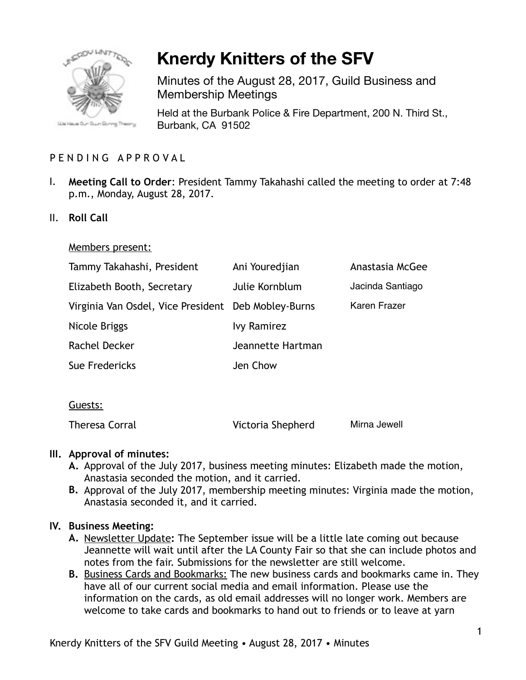

# **Knerdy Knitters of the SFV**

Minutes of the August 28, 2017, Guild Business and Membership Meetings

Held at the Burbank Police & Fire Department, 200 N. Third St., Burbank, CA 91502

# PENDING APPROVAL

- I. **Meeting Call to Order**: President Tammy Takahashi called the meeting to order at 7:48 p.m., Monday, August 28, 2017.
- II. **Roll Call**

#### Members present:

| Tammy Takahashi, President                          | Ani Youredjian     | Anastasia McGee     |
|-----------------------------------------------------|--------------------|---------------------|
| Elizabeth Booth, Secretary                          | Julie Kornblum     | Jacinda Santiago    |
| Virginia Van Osdel, Vice President Deb Mobley-Burns |                    | <b>Karen Frazer</b> |
| Nicole Briggs                                       | <b>Ivy Ramirez</b> |                     |
| Rachel Decker                                       | Jeannette Hartman  |                     |
| Sue Fredericks                                      | Jen Chow           |                     |
|                                                     |                    |                     |

## Guests:

Theresa Corral Victoria Shepherd Mirna Jewell

## **III. Approval of minutes:**

- **A.** Approval of the July 2017, business meeting minutes: Elizabeth made the motion, Anastasia seconded the motion, and it carried.
- **B.** Approval of the July 2017, membership meeting minutes: Virginia made the motion, Anastasia seconded it, and it carried.

#### **IV. Business Meeting:**

- **A.** Newsletter Update**:** The September issue will be a little late coming out because Jeannette will wait until after the LA County Fair so that she can include photos and notes from the fair. Submissions for the newsletter are still welcome.
- **B.** Business Cards and Bookmarks: The new business cards and bookmarks came in. They have all of our current social media and email information. Please use the information on the cards, as old email addresses will no longer work. Members are welcome to take cards and bookmarks to hand out to friends or to leave at yarn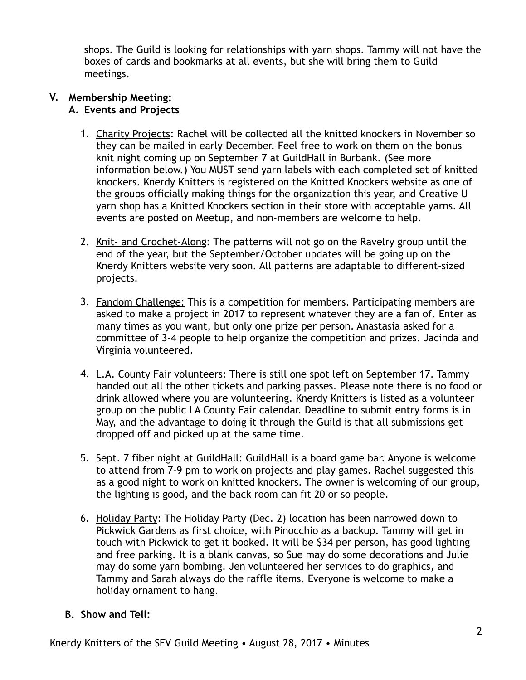shops. The Guild is looking for relationships with yarn shops. Tammy will not have the boxes of cards and bookmarks at all events, but she will bring them to Guild meetings.

#### **V. Membership Meeting: A. Events and Projects**

- 1. Charity Projects: Rachel will be collected all the knitted knockers in November so they can be mailed in early December. Feel free to work on them on the bonus knit night coming up on September 7 at GuildHall in Burbank. (See more information below.) You MUST send yarn labels with each completed set of knitted knockers. Knerdy Knitters is registered on the Knitted Knockers website as one of the groups officially making things for the organization this year, and Creative U yarn shop has a Knitted Knockers section in their store with acceptable yarns. All events are posted on Meetup, and non-members are welcome to help.
- 2. Knit- and Crochet-Along: The patterns will not go on the Ravelry group until the end of the year, but the September/October updates will be going up on the Knerdy Knitters website very soon. All patterns are adaptable to different-sized projects.
- 3. Fandom Challenge: This is a competition for members. Participating members are asked to make a project in 2017 to represent whatever they are a fan of. Enter as many times as you want, but only one prize per person. Anastasia asked for a committee of 3-4 people to help organize the competition and prizes. Jacinda and Virginia volunteered.
- 4. L.A. County Fair volunteers: There is still one spot left on September 17. Tammy handed out all the other tickets and parking passes. Please note there is no food or drink allowed where you are volunteering. Knerdy Knitters is listed as a volunteer group on the public LA County Fair calendar. Deadline to submit entry forms is in May, and the advantage to doing it through the Guild is that all submissions get dropped off and picked up at the same time.
- 5. Sept. 7 fiber night at GuildHall: GuildHall is a board game bar. Anyone is welcome to attend from 7-9 pm to work on projects and play games. Rachel suggested this as a good night to work on knitted knockers. The owner is welcoming of our group, the lighting is good, and the back room can fit 20 or so people.
- 6. Holiday Party: The Holiday Party (Dec. 2) location has been narrowed down to Pickwick Gardens as first choice, with Pinocchio as a backup. Tammy will get in touch with Pickwick to get it booked. It will be \$34 per person, has good lighting and free parking. It is a blank canvas, so Sue may do some decorations and Julie may do some yarn bombing. Jen volunteered her services to do graphics, and Tammy and Sarah always do the raffle items. Everyone is welcome to make a holiday ornament to hang.

## **B. Show and Tell:**